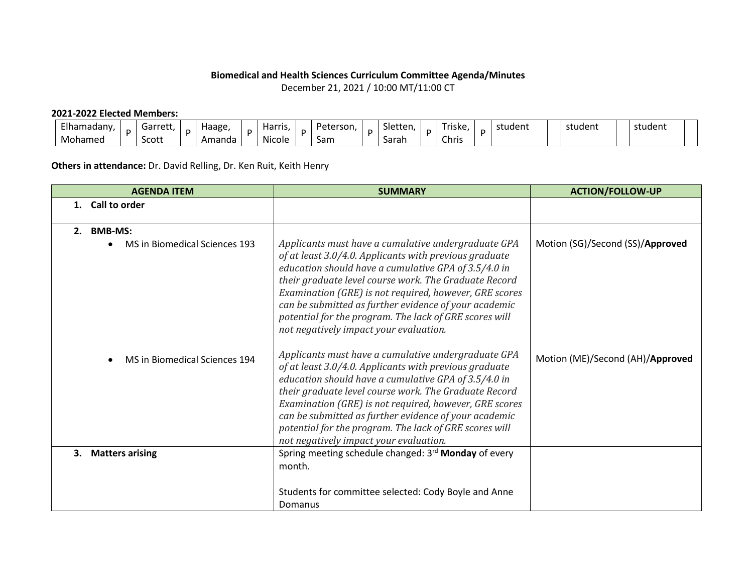## **Biomedical and Health Sciences Curriculum Committee Agenda/Minutes** December 21, 2021 / 10:00 MT/11:00 CT

## **2021-2022 Elected Members:**

| Elhamadany, | Garrett, | Haage. | . . | <b>Harris</b><br>. | Peterson | $\sim$<br>Sletten. | Triske, | student | student | student |
|-------------|----------|--------|-----|--------------------|----------|--------------------|---------|---------|---------|---------|
| Mohamed     | Scott    | Amanda |     | Nicole             | .Sam     | Sarah              | Chris   |         |         |         |

**Others in attendance:** Dr. David Relling, Dr. Ken Ruit, Keith Henry

| <b>AGENDA ITEM</b>                                    | <b>SUMMARY</b>                                                                                                                                                                                                                                                                                                                                                                                                                                        | <b>ACTION/FOLLOW-UP</b>          |
|-------------------------------------------------------|-------------------------------------------------------------------------------------------------------------------------------------------------------------------------------------------------------------------------------------------------------------------------------------------------------------------------------------------------------------------------------------------------------------------------------------------------------|----------------------------------|
| 1. Call to order                                      |                                                                                                                                                                                                                                                                                                                                                                                                                                                       |                                  |
| <b>BMB-MS:</b><br>2.<br>MS in Biomedical Sciences 193 | Applicants must have a cumulative undergraduate GPA<br>of at least 3.0/4.0. Applicants with previous graduate<br>education should have a cumulative GPA of 3.5/4.0 in<br>their graduate level course work. The Graduate Record<br>Examination (GRE) is not required, however, GRE scores<br>can be submitted as further evidence of your academic<br>potential for the program. The lack of GRE scores will<br>not negatively impact your evaluation. | Motion (SG)/Second (SS)/Approved |
| MS in Biomedical Sciences 194                         | Applicants must have a cumulative undergraduate GPA<br>of at least 3.0/4.0. Applicants with previous graduate<br>education should have a cumulative GPA of 3.5/4.0 in<br>their graduate level course work. The Graduate Record<br>Examination (GRE) is not required, however, GRE scores<br>can be submitted as further evidence of your academic<br>potential for the program. The lack of GRE scores will<br>not negatively impact your evaluation. | Motion (ME)/Second (AH)/Approved |
| <b>Matters arising</b><br>3.                          | Spring meeting schedule changed: 3rd Monday of every<br>month.<br>Students for committee selected: Cody Boyle and Anne<br>Domanus                                                                                                                                                                                                                                                                                                                     |                                  |